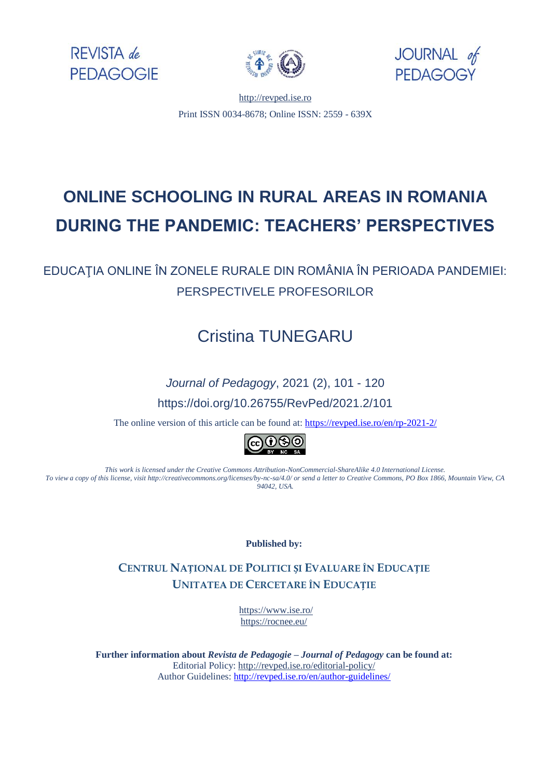





[http://revped.ise.ro](http://revped.ise.ro/) Print ISSN 0034-8678; Online ISSN: 2559 - 639X

# **ONLINE SCHOOLING IN RURAL AREAS IN ROMANIA DURING THE PANDEMIC: TEACHERS' PERSPECTIVES**

EDUCAŢIA ONLINE ÎN ZONELE RURALE DIN ROMÂNIA ÎN PERIOADA PANDEMIEI: PERSPECTIVELE PROFESORILOR

# Cristina TUNEGARU

### *Journal of Pedagogy*, 2021 (2), 101 - 120

https://doi.org/10.26755/RevPed/2021.2/101

The online version of this article can be found at[: https://revped.ise.ro/en/rp-2021-2/](https://revped.ise.ro/en/rp-2021-2/)



*This work is licensed under the Creative Commons Attribution-NonCommercial-ShareAlike 4.0 International License. To view a copy of this license, visit http://creativecommons.org/licenses/by-nc-sa/4.0/ or send a letter to Creative Commons, PO Box 1866, Mountain View, CA 94042, USA.* 

**Published by:** 

**CENTRUL NAȚIONAL DE P[OLITICI](http://www.ise.ro/) ȘI EVALUARE ÎN EDUCAȚIE UNITATEA DE CERCETARE ÎN EDUCAȚIE**

> https://www.ise.ro/ [https://rocnee.eu/](http://revped.ise.ro/editorial-policy/)

**Further information about** *Revista de Pedagogie – Journal of Pedagogy* **can be found at:**  Editorial Policy: http://revped.ise.ro/editorial-policy/ Author Guidelines: http://revped.ise.ro/en/author-guidelines/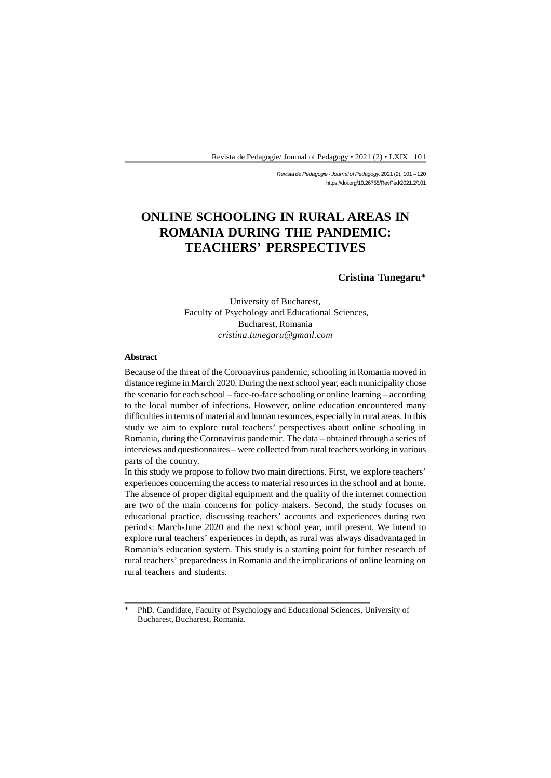*Revista de Pedagogie - Journal of Pedagogy,* 2021 (2), 101 – 120 https://doi.org/10.26755/RevPed/2021.2/101

## **ONLINE SCHOOLING IN RURAL AREAS IN ROMANIA DURING THE PANDEMIC: TEACHERS' PERSPECTIVES**

**Cristina Tunegaru\***

University of Bucharest, Faculty of Psychology and Educational Sciences, Bucharest, Romania *cristina.tunegaru@gmail.com*

#### **Abstract**

Because of the threat of the Coronavirus pandemic, schooling in Romania moved in distance regime in March 2020. During the next school year, each municipality chose the scenario for each school – face-to-face schooling or online learning – according to the local number of infections. However, online education encountered many difficulties in terms of material and human resources, especially in rural areas. In this study we aim to explore rural teachers' perspectives about online schooling in Romania, during the Coronavirus pandemic. The data – obtained through a series of interviews and questionnaires – were collected from rural teachers working in various parts of the country.

In this study we propose to follow two main directions. First, we explore teachers' experiences concerning the access to material resources in the school and at home. The absence of proper digital equipment and the quality of the internet connection are two of the main concerns for policy makers. Second, the study focuses on educational practice, discussing teachers' accounts and experiences during two periods: March-June 2020 and the next school year, until present. We intend to explore rural teachers' experiences in depth, as rural was always disadvantaged in Romania's education system. This study is a starting point for further research of rural teachers' preparedness in Romania and the implications of online learning on rural teachers and students.

<sup>\*</sup> PhD. Candidate, Faculty of Psychology and Educational Sciences, University of Bucharest, Bucharest, Romania.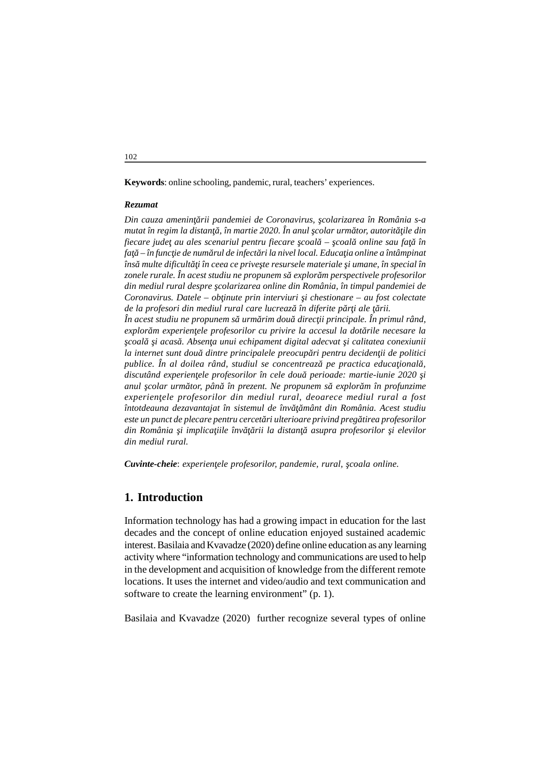**Keywords**: online schooling, pandemic, rural, teachers' experiences.

#### *Rezumat*

*Din cauza ameninţării pandemiei de Coronavirus, şcolarizarea în România s-a mutat în regim la distan*, în martie 2020. În anul colar urm tor, autorit ile din *fiecare jude au ales scenariul pentru fiecare coal – coal online sau fa în* fa – în func ie de num rul de infect ri la nivel local. Educa *ia online a întâmpinat îns multe dificult i în ceea ce prive te resursele materiale i umane, în special în* zonele rurale. În acest studiu ne propunem s<sup>explor</sup>m perspectivele profesorilor *din mediul rural despre şcolarizarea online din România, în timpul pandemiei de Coronavirus. Datele – ob inute prin interviuri i chestionare – au fost colectate de la profesori din mediul rural care lucreaz* în diferite p r i ale rii.  $\hat{I}$ n acest studiu ne propunem s urm rim dou direc ii principale. În primul rând, explor *m experien ele profesorilor cu privire la accesul la dot rile necesare la coal i acas. Absen a unui echipament digital adecvat i calitatea conexiunii la internet sunt dou dintre principalele preocup ri pentru deciden ii de politici publice. În al doilea rând, studiul se concentreaz pe practica educa ional*, discutând experien ele profesorilor în cele dou perioade: martie-iunie 2020 *i anul colar urm tor, pân în prezent. Ne propunem s explor m în profunzime experienţele profesorilor din mediul rural, deoarece mediul rural a fost întotdeauna dezavantajat în sistemul de înv mânt din România. Acest studiu este un punct de plecare pentru cercet ri ulterioare privind preg tirea profesorilor din România i implica iile înv* rii la distan asupra profesorilor i elevilor *din mediul rural.*

*Cuvinte-cheie: experien ele profesorilor, pandemie, rural, coala online.* 

### **1. Introduction**

Information technology has had a growing impact in education for the last decades and the concept of online education enjoyed sustained academic interest. Basilaia and Kvavadze (2020) define online education as any learning activity where "information technology and communications are used to help in the development and acquisition of knowledge from the different remote locations. It uses the internet and video/audio and text communication and software to create the learning environment" (p. 1).

Basilaia and Kvavadze (2020) further recognize several types of online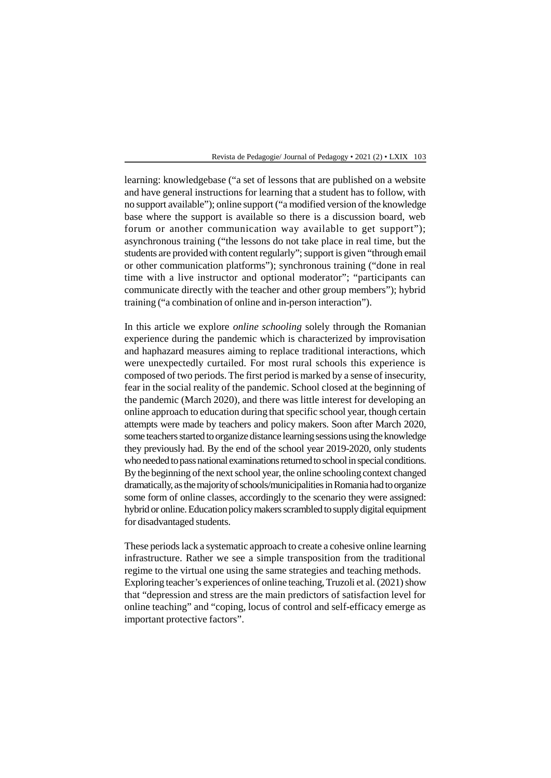learning: knowledgebase ("a set of lessons that are published on a website and have general instructions for learning that a student has to follow, with no support available"); online support ("a modified version of the knowledge base where the support is available so there is a discussion board, web forum or another communication way available to get support"); asynchronous training ("the lessons do not take place in real time, but the students are provided with content regularly"; support is given "through email or other communication platforms"); synchronous training ("done in real time with a live instructor and optional moderator"; "participants can communicate directly with the teacher and other group members"); hybrid training ("a combination of online and in-person interaction").

In this article we explore *online schooling* solely through the Romanian experience during the pandemic which is characterized by improvisation and haphazard measures aiming to replace traditional interactions, which were unexpectedly curtailed. For most rural schools this experience is composed of two periods. The first period is marked by a sense of insecurity, fear in the social reality of the pandemic. School closed at the beginning of the pandemic (March 2020), and there was little interest for developing an online approach to education during that specific school year, though certain attempts were made by teachers and policy makers. Soon after March 2020, some teachers started to organize distance learning sessions using the knowledge they previously had. By the end of the school year 2019-2020, only students who needed to pass national examinations returned to school in special conditions. By the beginning of the next school year, the online schooling context changed dramatically, as the majority of schools/municipalities in Romania had to organize some form of online classes, accordingly to the scenario they were assigned: hybrid or online. Education policy makers scrambled to supply digital equipment for disadvantaged students.

These periods lack a systematic approach to create a cohesive online learning infrastructure. Rather we see a simple transposition from the traditional regime to the virtual one using the same strategies and teaching methods. Exploring teacher's experiences of online teaching, Truzoli et al. (2021) show that "depression and stress are the main predictors of satisfaction level for online teaching" and "coping, locus of control and self-efficacy emerge as important protective factors".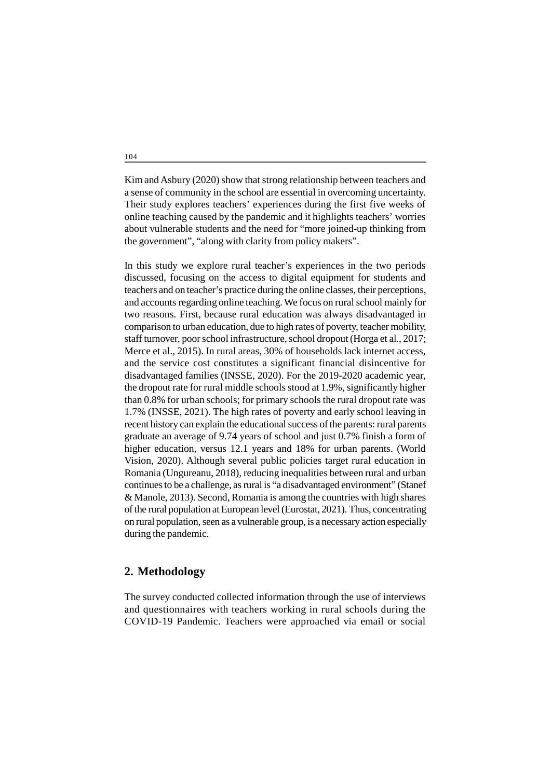Kim and Asbury (2020) show that strong relationship between teachers and a sense of community in the school are essential in overcoming uncertainty. Their study explores teachers' experiences during the first five weeks of online teaching caused by the pandemic and it highlights teachers' worries about vulnerable students and the need for "more joined-up thinking from the government", "along with clarity from policy makers".

In this study we explore rural teacher's experiences in the two periods discussed, focusing on the access to digital equipment for students and teachers and on teacher's practice during the online classes, their perceptions, and accounts regarding online teaching. We focus on rural school mainly for two reasons. First, because rural education was always disadvantaged in comparison to urban education, due to high rates of poverty, teacher mobility, staff turnover, poor school infrastructure, school dropout (Horga et al., 2017; Merce et al., 2015). In rural areas, 30% of households lack internet access, and the service cost constitutes a significant financial disincentive for disadvantaged families (INSSE, 2020). For the 2019-2020 academic year, the dropout rate for rural middle schools stood at 1.9%, significantly higher than 0.8% for urban schools; for primary schools the rural dropout rate was 1.7% (INSSE, 2021). The high rates of poverty and early school leaving in recent history can explain the educational success of the parents: rural parents graduate an average of 9.74 years of school and just 0.7% finish a form of higher education, versus 12.1 years and 18% for urban parents. (World Vision, 2020). Although several public policies target rural education in Romania (Ungureanu, 2018), reducing inequalities between rural and urban continues to be a challenge, as rural is "a disadvantaged environment" (Stanef & Manole, 2013). Second, Romania is among the countries with high shares of the rural population at European level (Eurostat, 2021). Thus, concentrating on rural population, seen as a vulnerable group, is a necessary action especially during the pandemic.

### **2. Methodology**

The survey conducted collected information through the use of interviews and questionnaires with teachers working in rural schools during the COVID-19 Pandemic. Teachers were approached via email or social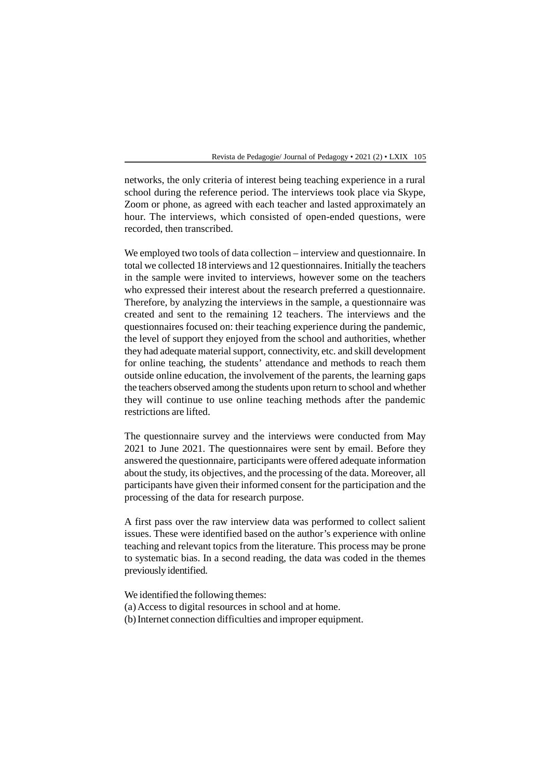networks, the only criteria of interest being teaching experience in a rural school during the reference period. The interviews took place via Skype, Zoom or phone, as agreed with each teacher and lasted approximately an hour. The interviews, which consisted of open-ended questions, were recorded, then transcribed.

We employed two tools of data collection – interview and questionnaire. In total we collected 18 interviews and 12 questionnaires. Initially the teachers in the sample were invited to interviews, however some on the teachers who expressed their interest about the research preferred a questionnaire. Therefore, by analyzing the interviews in the sample, a questionnaire was created and sent to the remaining 12 teachers. The interviews and the questionnaires focused on: their teaching experience during the pandemic, the level of support they enjoyed from the school and authorities, whether they had adequate material support, connectivity, etc. and skill development for online teaching, the students' attendance and methods to reach them outside online education, the involvement of the parents, the learning gaps the teachers observed among the students upon return to school and whether they will continue to use online teaching methods after the pandemic restrictions are lifted.

The questionnaire survey and the interviews were conducted from May 2021 to June 2021. The questionnaires were sent by email. Before they answered the questionnaire, participants were offered adequate information about the study, its objectives, and the processing of the data. Moreover, all participants have given their informed consent for the participation and the processing of the data for research purpose.

A first pass over the raw interview data was performed to collect salient issues. These were identified based on the author's experience with online teaching and relevant topics from the literature. This process may be prone to systematic bias. In a second reading, the data was coded in the themes previously identified.

We identified the following themes:

- (a)Access to digital resources in school and at home.
- (b)Internet connection difficulties and improper equipment.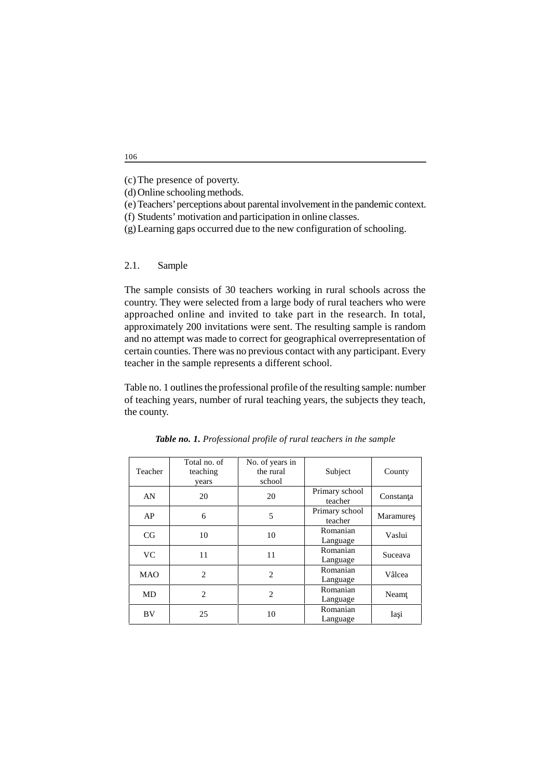- (d)Online schooling methods.
- (e)Teachers' perceptions about parental involvement in the pandemic context.
- (f) Students' motivation and participation in online classes.
- (g)Learning gaps occurred due to the new configuration of schooling.
- 2.1. Sample

The sample consists of 30 teachers working in rural schools across the country. They were selected from a large body of rural teachers who were approached online and invited to take part in the research. In total, approximately 200 invitations were sent. The resulting sample is random and no attempt was made to correct for geographical overrepresentation of certain counties. There was no previous contact with any participant. Every teacher in the sample represents a different school.

Table no. 1 outlines the professional profile of the resulting sample: number of teaching years, number of rural teaching years, the subjects they teach, the county.

| Teacher    | Total no. of<br>teaching<br>years | No. of years in<br>the rural<br>school | Subject                   | County    |
|------------|-----------------------------------|----------------------------------------|---------------------------|-----------|
| AN         | 20                                | 20                                     | Primary school<br>teacher | Constan a |
| AP         | 6                                 | 5                                      | Primary school<br>teacher | Maramure  |
| CG         | 10                                | 10                                     | Romanian<br>Language      | Vaslui    |
| <b>VC</b>  | 11                                | 11                                     | Romanian<br>Language      | Suceava   |
| <b>MAO</b> | 2                                 | $\overline{2}$                         | Romanian<br>Language      | Vâlcea    |
| MD         | 2                                 | $\overline{c}$                         | Romanian<br>Language      | Neam      |
| BV.        | 25                                | 10                                     | Romanian<br>Language      | Ia i      |

*Table no. 1. Professional profile of rural teachers in the sample*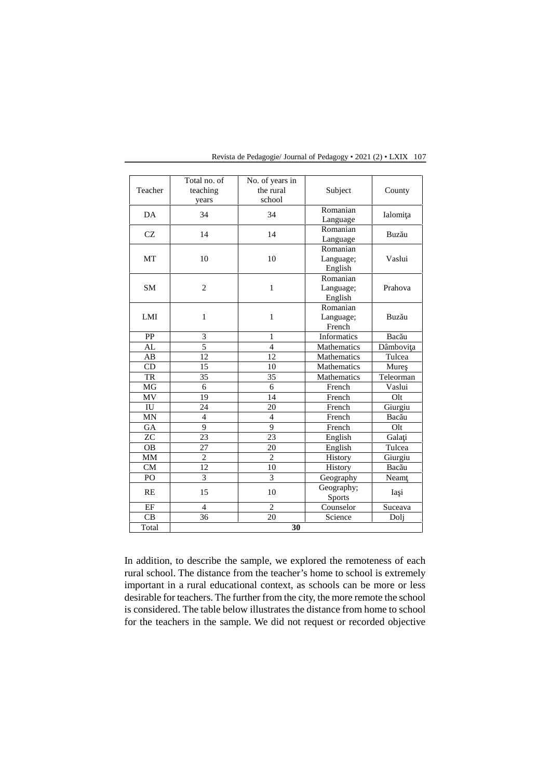|           | Total no. of   | No. of years in |                    |           |
|-----------|----------------|-----------------|--------------------|-----------|
| Teacher   | teaching       | the rural       | Subject            | County    |
|           | years          | school          |                    |           |
| DA        | 34             | 34              | Romanian           | Ialomi a  |
|           |                |                 | Language           |           |
| CZ        | 14             | 14              | Romanian           | Buz u     |
|           |                |                 | Language           |           |
|           |                |                 | Romanian           |           |
| MT        | 10             | 10              | Language;          | Vaslui    |
|           |                |                 | English            |           |
|           |                |                 | Romanian           |           |
| <b>SM</b> | $\overline{2}$ | $\mathbf{1}$    | Language;          | Prahova   |
|           |                |                 | English            |           |
|           |                |                 | Romanian           |           |
| LMI       | $\mathbf{1}$   | $\mathbf{1}$    | Language;          | Buz u     |
|           |                |                 | French             |           |
| PP        | 3              | 1               | Informatics        | Bac u     |
| AL        | $\overline{5}$ | $\overline{4}$  | <b>Mathematics</b> | Dâmbovi a |
| AB        | 12             | 12              | Mathematics        | Tulcea    |
| CD.       | 15             | 10              | <b>Mathematics</b> | Mure      |
| TR        | 35             | 35              | <b>Mathematics</b> | Teleorman |
| MG        | 6              | 6               | French             | Vaslui    |
| MV        | 19             | 14              | French             | Olt       |
| IU        | 24             | 20              | French             | Giurgiu   |
| MN        | $\overline{4}$ | $\overline{4}$  | French             | Bac u     |
| GA        | 9              | 9               | French             | Olt       |
| ZC        | 23             | 23              | English            | Gala i    |
| <b>OB</b> | 27             | 20              | English            | Tulcea    |
| MМ        | $\overline{2}$ | $\overline{2}$  | History            | Giurgiu   |
| CM        | 12             | 10              | History            | Bac u     |
| PO        | 3              | 3               | Geography          | Neam      |
|           |                | 10              | Geography;         |           |
| <b>RE</b> | 15             |                 | Sports             | Ia i      |
| EF        | $\overline{4}$ | $\overline{2}$  | Counselor          | Suceava   |
| CB        | 36             | 20              | Science            | Dolj      |
| Total     |                | 30              |                    |           |

In addition, to describe the sample, we explored the remoteness of each rural school. The distance from the teacher's home to school is extremely important in a rural educational context, as schools can be more or less desirable for teachers. The further from the city, the more remote the school is considered. The table below illustrates the distance from home to school for the teachers in the sample. We did not request or recorded objective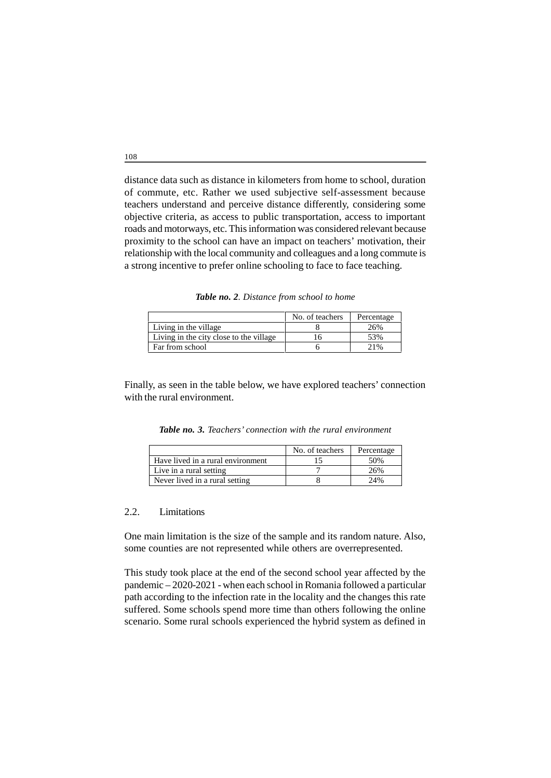distance data such as distance in kilometers from home to school, duration of commute, etc. Rather we used subjective self-assessment because teachers understand and perceive distance differently, considering some objective criteria, as access to public transportation, access to important roads and motorways, etc. This information was considered relevant because proximity to the school can have an impact on teachers' motivation, their relationship with the local community and colleagues and a long commute is a strong incentive to prefer online schooling to face to face teaching.

*Table no. 2. Distance from school to home*

|                                         | No. of teachers | Percentage |
|-----------------------------------------|-----------------|------------|
| Living in the village                   |                 | 26%        |
| Living in the city close to the village |                 | 53%        |
| Far from school                         |                 | 21%        |

Finally, as seen in the table below, we have explored teachers' connection with the rural environment.

*Table no. 3. Teachers' connection with the rural environment*

|                                   | No. of teachers | Percentage |
|-----------------------------------|-----------------|------------|
| Have lived in a rural environment |                 | 50%        |
| Live in a rural setting           |                 | 26%        |
| Never lived in a rural setting    |                 | 24%        |

#### 2.2. Limitations

One main limitation is the size of the sample and its random nature. Also, some counties are not represented while others are overrepresented.

This study took place at the end of the second school year affected by the pandemic – 2020-2021 - when each school in Romania followed a particular path according to the infection rate in the locality and the changes this rate suffered. Some schools spend more time than others following the online scenario. Some rural schools experienced the hybrid system as defined in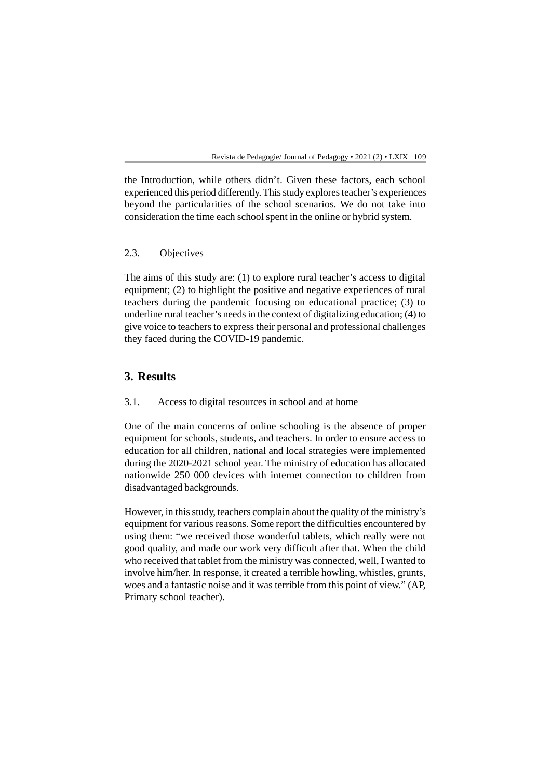the Introduction, while others didn't. Given these factors, each school experienced this period differently. This study explores teacher's experiences beyond the particularities of the school scenarios. We do not take into consideration the time each school spent in the online or hybrid system.

### 2.3. Objectives

The aims of this study are: (1) to explore rural teacher's access to digital equipment; (2) to highlight the positive and negative experiences of rural teachers during the pandemic focusing on educational practice; (3) to underline rural teacher's needs in the context of digitalizing education; (4) to give voice to teachers to express their personal and professional challenges they faced during the COVID-19 pandemic.

### **3. Results**

3.1. Access to digital resources in school and at home

One of the main concerns of online schooling is the absence of proper equipment for schools, students, and teachers. In order to ensure access to education for all children, national and local strategies were implemented during the 2020-2021 school year. The ministry of education has allocated nationwide 250 000 devices with internet connection to children from disadvantaged backgrounds.

However, in this study, teachers complain about the quality of the ministry's equipment for various reasons. Some report the difficulties encountered by using them: "we received those wonderful tablets, which really were not good quality, and made our work very difficult after that. When the child who received that tablet from the ministry was connected, well, I wanted to involve him/her. In response, it created a terrible howling, whistles, grunts, woes and a fantastic noise and it was terrible from this point of view." (AP, Primary school teacher).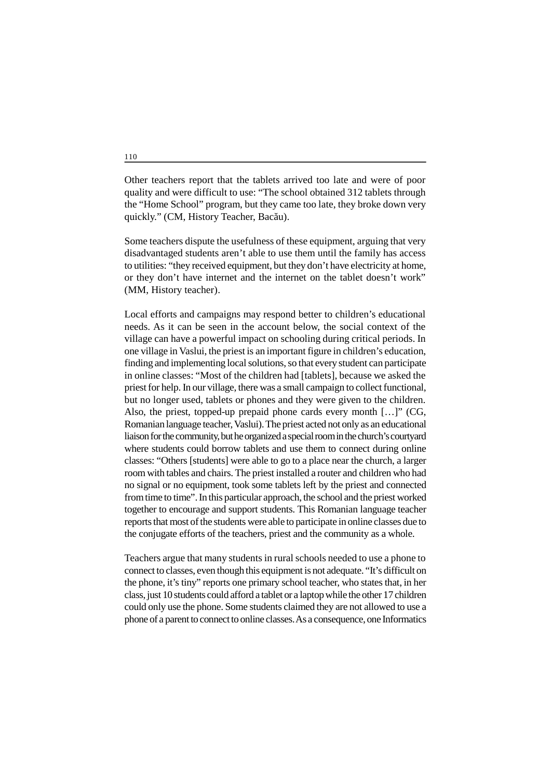Other teachers report that the tablets arrived too late and were of poor quality and were difficult to use: "The school obtained 312 tablets through the "Home School" program, but they came too late, they broke down very quickly." (CM, History Teacher, Bac u).

Some teachers dispute the usefulness of these equipment, arguing that very disadvantaged students aren't able to use them until the family has access to utilities: "they received equipment, but they don't have electricity at home, or they don't have internet and the internet on the tablet doesn't work" (MM, History teacher).

Local efforts and campaigns may respond better to children's educational needs. As it can be seen in the account below, the social context of the village can have a powerful impact on schooling during critical periods. In one village in Vaslui, the priest is an important figure in children's education, finding and implementing local solutions, so that every student can participate in online classes: "Most of the children had [tablets], because we asked the priest for help. In our village, there was a small campaign to collect functional, but no longer used, tablets or phones and they were given to the children. Also, the priest, topped-up prepaid phone cards every month […]" (CG, Romanian language teacher, Vaslui). The priest acted not only as an educational liaison for the community, but he organized a special room in the church's courtyard where students could borrow tablets and use them to connect during online classes: "Others [students] were able to go to a place near the church, a larger room with tables and chairs. The priest installed a router and children who had no signal or no equipment, took some tablets left by the priest and connected from time to time". In this particular approach, the school and the priest worked together to encourage and support students. This Romanian language teacher reports that most of the students were able to participate in online classes due to the conjugate efforts of the teachers, priest and the community as a whole.

Teachers argue that many students in rural schools needed to use a phone to connect to classes, even though this equipment is not adequate. "It's difficult on the phone, it's tiny" reports one primary school teacher, who states that, in her class, just 10 students could afford a tablet or a laptop while the other 17 children could only use the phone. Some students claimed they are not allowed to use a phone of a parent to connect to online classes. As a consequence, one Informatics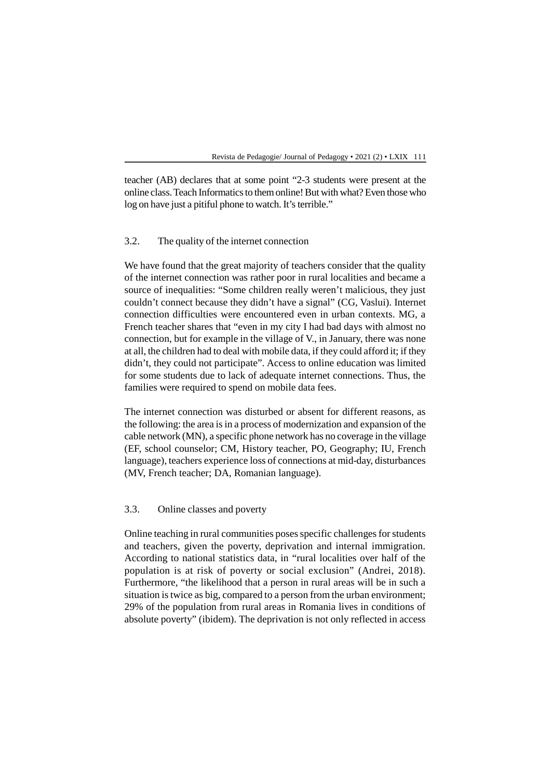teacher (AB) declares that at some point "2-3 students were present at the online class. Teach Informatics to them online! But with what? Even those who log on have just a pitiful phone to watch. It's terrible."

### 3.2. The quality of the internet connection

We have found that the great majority of teachers consider that the quality of the internet connection was rather poor in rural localities and became a source of inequalities: "Some children really weren't malicious, they just couldn't connect because they didn't have a signal" (CG, Vaslui). Internet connection difficulties were encountered even in urban contexts. MG, a French teacher shares that "even in my city I had bad days with almost no connection, but for example in the village of V., in January, there was none at all, the children had to deal with mobile data, if they could afford it; if they didn't, they could not participate"*.* Access to online education was limited for some students due to lack of adequate internet connections. Thus, the families were required to spend on mobile data fees.

The internet connection was disturbed or absent for different reasons, as the following: the area is in a process of modernization and expansion of the cable network (MN), a specific phone network has no coverage in the village (EF, school counselor; CM, History teacher, PO, Geography; IU, French language), teachers experience loss of connections at mid-day, disturbances (MV, French teacher; DA, Romanian language).

### 3.3. Online classes and poverty

Online teaching in rural communities poses specific challenges for students and teachers, given the poverty, deprivation and internal immigration. According to national statistics data, in "rural localities over half of the population is at risk of poverty or social exclusion" (Andrei, 2018). Furthermore, "the likelihood that a person in rural areas will be in such a situation is twice as big, compared to a person from the urban environment; 29% of the population from rural areas in Romania lives in conditions of absolute poverty" (ibidem). The deprivation is not only reflected in access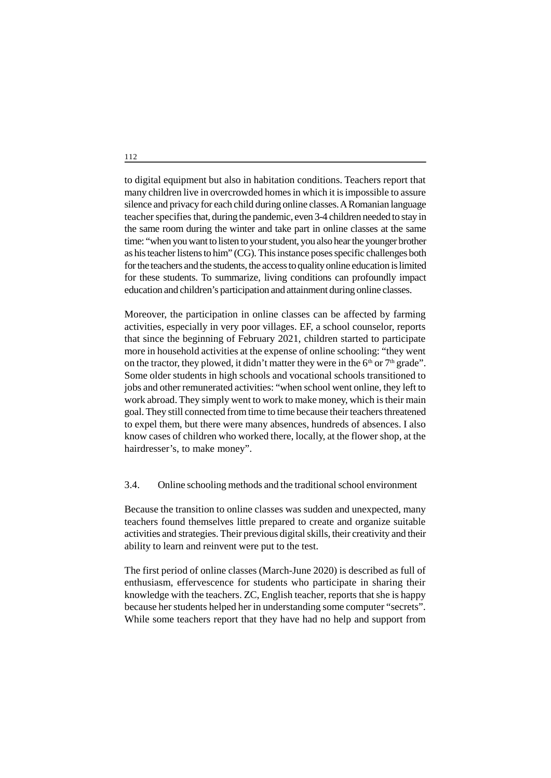to digital equipment but also in habitation conditions. Teachers report that many children live in overcrowded homes in which it is impossible to assure silence and privacy for each child during online classes. A Romanian language teacher specifies that, during the pandemic, even 3-4 children needed to stay in the same room during the winter and take part in online classes at the same time: "when you want to listen to your student, you also hear the younger brother as his teacher listens to him" (CG). This instance poses specific challenges both for the teachers and the students, the access to quality online education is limited for these students. To summarize, living conditions can profoundly impact education and children's participation and attainment during online classes.

Moreover, the participation in online classes can be affected by farming activities, especially in very poor villages. EF, a school counselor, reports that since the beginning of February 2021, children started to participate more in household activities at the expense of online schooling: "they went on the tractor, they plowed, it didn't matter they were in the  $6<sup>th</sup>$  or  $7<sup>th</sup>$  grade". Some older students in high schools and vocational schools transitioned to jobs and other remunerated activities: "when school went online, they left to work abroad. They simply went to work to make money, which is their main goal. They still connected from time to time because their teachers threatened to expel them, but there were many absences, hundreds of absences. I also know cases of children who worked there, locally, at the flower shop, at the hairdresser's, to make money".

### 3.4. Online schooling methods and the traditional school environment

Because the transition to online classes was sudden and unexpected, many teachers found themselves little prepared to create and organize suitable activities and strategies. Their previous digital skills, their creativity and their ability to learn and reinvent were put to the test.

The first period of online classes (March-June 2020) is described as full of enthusiasm, effervescence for students who participate in sharing their knowledge with the teachers. ZC, English teacher, reports that she is happy because her students helped her in understanding some computer "secrets". While some teachers report that they have had no help and support from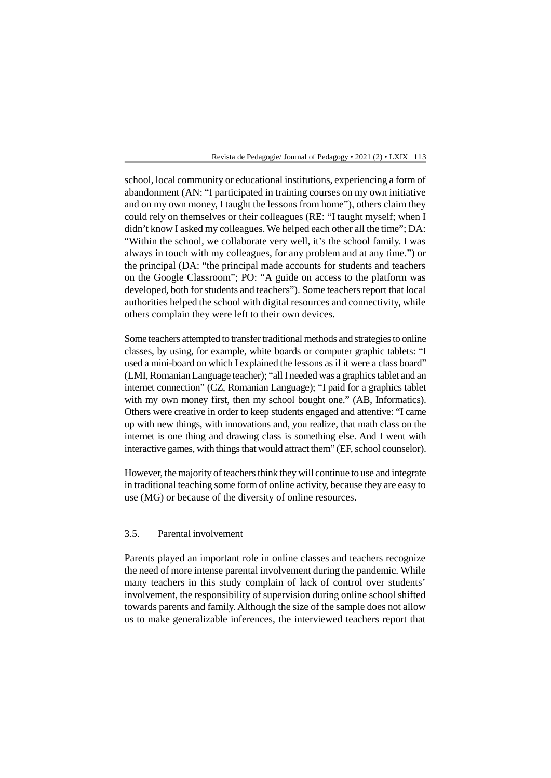school, local community or educational institutions, experiencing a form of abandonment (AN: "I participated in training courses on my own initiative and on my own money, I taught the lessons from home"), others claim they could rely on themselves or their colleagues (RE: "I taught myself; when I didn't know I asked my colleagues. We helped each other all the time"; DA: "Within the school, we collaborate very well, it's the school family. I was always in touch with my colleagues, for any problem and at any time.") or the principal (DA: "the principal made accounts for students and teachers on the Google Classroom"; PO: "A guide on access to the platform was developed, both for students and teachers"). Some teachers report that local authorities helped the school with digital resources and connectivity, while others complain they were left to their own devices.

Some teachers attempted to transfer traditional methods and strategies to online classes, by using, for example, white boards or computer graphic tablets: "I used a mini-board on which I explained the lessons as if it were a class board" (LMI, Romanian Language teacher); "all I needed was a graphics tablet and an internet connection" (CZ, Romanian Language); "I paid for a graphics tablet with my own money first, then my school bought one." (AB, Informatics). Others were creative in order to keep students engaged and attentive: "I came up with new things, with innovations and, you realize, that math class on the internet is one thing and drawing class is something else. And I went with interactive games, with things that would attract them" (EF, school counselor).

However, the majority of teachers think they will continue to use and integrate in traditional teaching some form of online activity, because they are easy to use (MG) or because of the diversity of online resources.

### 3.5. Parental involvement

Parents played an important role in online classes and teachers recognize the need of more intense parental involvement during the pandemic. While many teachers in this study complain of lack of control over students' involvement, the responsibility of supervision during online school shifted towards parents and family. Although the size of the sample does not allow us to make generalizable inferences, the interviewed teachers report that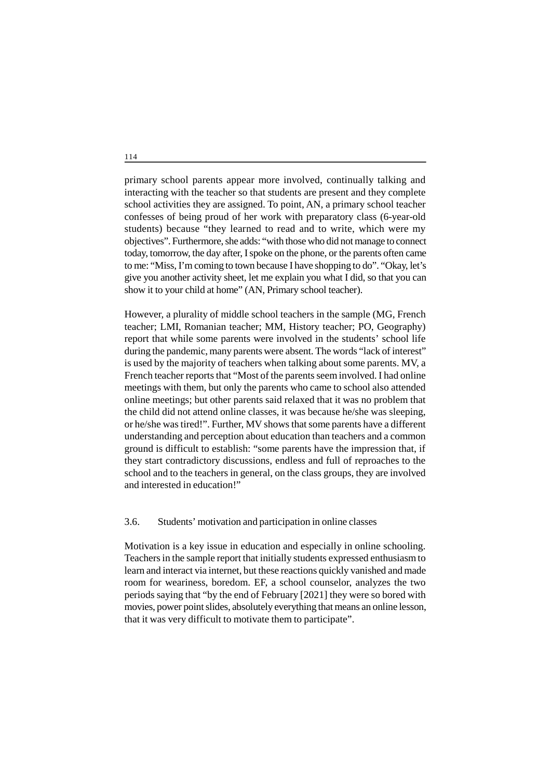primary school parents appear more involved, continually talking and interacting with the teacher so that students are present and they complete school activities they are assigned. To point, AN, a primary school teacher confesses of being proud of her work with preparatory class (6-year-old students) because "they learned to read and to write, which were my objectives". Furthermore, she adds: "with those who did not manage to connect today, tomorrow, the day after, I spoke on the phone, or the parents often came to me: "Miss, I'm coming to town because I have shopping to do". "Okay, let's give you another activity sheet, let me explain you what I did, so that you can show it to your child at home" (AN, Primary school teacher).

However, a plurality of middle school teachers in the sample (MG, French teacher; LMI, Romanian teacher; MM, History teacher; PO, Geography) report that while some parents were involved in the students' school life during the pandemic, many parents were absent. The words "lack of interest" is used by the majority of teachers when talking about some parents. MV, a French teacher reports that "Most of the parents seem involved. I had online meetings with them, but only the parents who came to school also attended online meetings; but other parents said relaxed that it was no problem that the child did not attend online classes, it was because he/she was sleeping, or he/she was tired!". Further, MV shows that some parents have a different understanding and perception about education than teachers and a common ground is difficult to establish: "some parents have the impression that, if they start contradictory discussions, endless and full of reproaches to the school and to the teachers in general, on the class groups, they are involved and interested in education!"

#### 3.6. Students' motivation and participation in online classes

Motivation is a key issue in education and especially in online schooling. Teachers in the sample report that initially students expressed enthusiasm to learn and interact via internet, but these reactions quickly vanished and made room for weariness, boredom. EF, a school counselor, analyzes the two periods saying that "by the end of February [2021] they were so bored with movies, power point slides, absolutely everything that means an online lesson, that it was very difficult to motivate them to participate".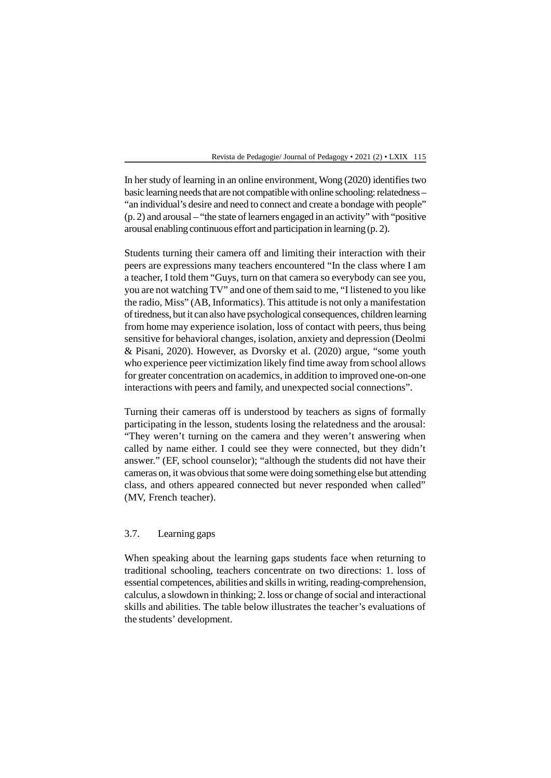In her study of learning in an online environment, Wong (2020) identifies two basic learning needs that are not compatible with online schooling: relatedness – "an individual's desire and need to connect and create a bondage with people" (p. 2) and arousal – "the state of learners engaged in an activity" with "positive arousal enabling continuous effort and participation in learning (p. 2).

Students turning their camera off and limiting their interaction with their peers are expressions many teachers encountered "In the class where I am a teacher, I told them "Guys, turn on that camera so everybody can see you, you are not watching TV" and one of them said to me, "I listened to you like the radio, Miss" (AB, Informatics). This attitude is not only a manifestation of tiredness, but it can also have psychological consequences, children learning from home may experience isolation, loss of contact with peers, thus being sensitive for behavioral changes, isolation, anxiety and depression (Deolmi & Pisani, 2020). However, as Dvorsky et al. (2020) argue, "some youth who experience peer victimization likely find time away from school allows for greater concentration on academics, in addition to improved one-on-one interactions with peers and family, and unexpected social connections".

Turning their cameras off is understood by teachers as signs of formally participating in the lesson, students losing the relatedness and the arousal: "They weren't turning on the camera and they weren't answering when called by name either. I could see they were connected, but they didn't answer." (EF, school counselor); "although the students did not have their cameras on, it was obvious that some were doing something else but attending class, and others appeared connected but never responded when called" (MV, French teacher).

### 3.7. Learning gaps

When speaking about the learning gaps students face when returning to traditional schooling, teachers concentrate on two directions: 1. loss of essential competences, abilities and skills in writing, reading-comprehension, calculus, a slowdown in thinking; 2. loss or change of social and interactional skills and abilities. The table below illustrates the teacher's evaluations of the students' development.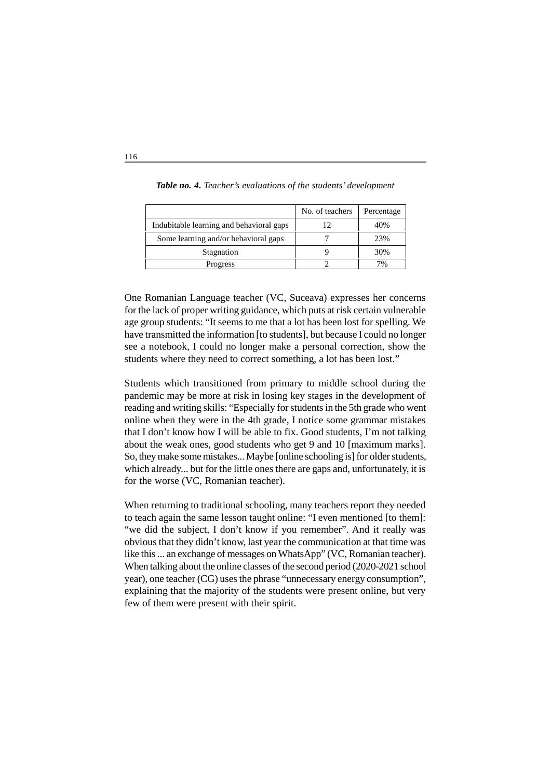|                                          | No. of teachers | Percentage |
|------------------------------------------|-----------------|------------|
| Indubitable learning and behavioral gaps |                 | 40%        |
| Some learning and/or behavioral gaps     |                 | 23%        |
| Stagnation                               |                 | 30%        |
| Progress                                 |                 | 7%         |

*Table no. 4. Teacher's evaluations of the students' development*

One Romanian Language teacher (VC, Suceava) expresses her concerns for the lack of proper writing guidance, which puts at risk certain vulnerable age group students: "It seems to me that a lot has been lost for spelling. We have transmitted the information [to students], but because I could no longer see a notebook, I could no longer make a personal correction, show the students where they need to correct something, a lot has been lost."

Students which transitioned from primary to middle school during the pandemic may be more at risk in losing key stages in the development of reading and writing skills: "Especially for students in the 5th grade who went online when they were in the 4th grade, I notice some grammar mistakes that I don't know how I will be able to fix. Good students, I'm not talking about the weak ones, good students who get 9 and 10 [maximum marks]. So, they make some mistakes... Maybe [online schooling is] for older students, which already... but for the little ones there are gaps and, unfortunately, it is for the worse (VC, Romanian teacher).

When returning to traditional schooling, many teachers report they needed to teach again the same lesson taught online: "I even mentioned [to them]: "we did the subject, I don't know if you remember". And it really was obvious that they didn't know, last year the communication at that time was like this ... an exchange of messages on WhatsApp" (VC, Romanian teacher). When talking about the online classes of the second period (2020-2021 school year), one teacher (CG) uses the phrase "unnecessary energy consumption", explaining that the majority of the students were present online, but very few of them were present with their spirit.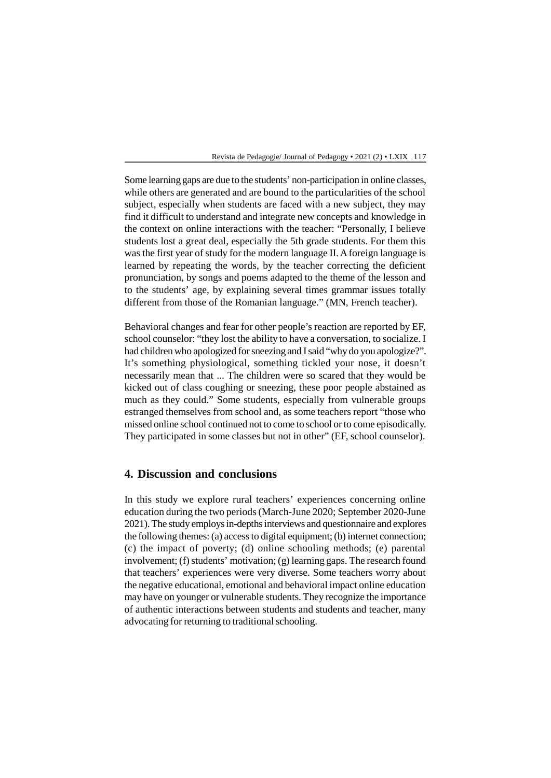Some learning gaps are due to the students' non-participation in online classes, while others are generated and are bound to the particularities of the school subject, especially when students are faced with a new subject, they may find it difficult to understand and integrate new concepts and knowledge in the context on online interactions with the teacher: "Personally, I believe students lost a great deal, especially the 5th grade students. For them this was the first year of study for the modern language II. A foreign language is learned by repeating the words, by the teacher correcting the deficient pronunciation, by songs and poems adapted to the theme of the lesson and to the students' age, by explaining several times grammar issues totally different from those of the Romanian language." (MN, French teacher).

Behavioral changes and fear for other people's reaction are reported by EF, school counselor: "they lost the ability to have a conversation, to socialize. I had children who apologized for sneezing and I said "why do you apologize?". It's something physiological, something tickled your nose, it doesn't necessarily mean that ... The children were so scared that they would be kicked out of class coughing or sneezing, these poor people abstained as much as they could." Some students, especially from vulnerable groups estranged themselves from school and, as some teachers report "those who missed online school continued not to come to school or to come episodically. They participated in some classes but not in other" (EF, school counselor).

### **4. Discussion and conclusions**

In this study we explore rural teachers' experiences concerning online education during the two periods (March-June 2020; September 2020-June 2021). The study employs in-depths interviews and questionnaire and explores the following themes: (a) access to digital equipment; (b) internet connection; (c) the impact of poverty; (d) online schooling methods; (e) parental involvement; (f) students' motivation; (g) learning gaps. The research found that teachers' experiences were very diverse. Some teachers worry about the negative educational, emotional and behavioral impact online education may have on younger or vulnerable students. They recognize the importance of authentic interactions between students and students and teacher, many advocating for returning to traditional schooling.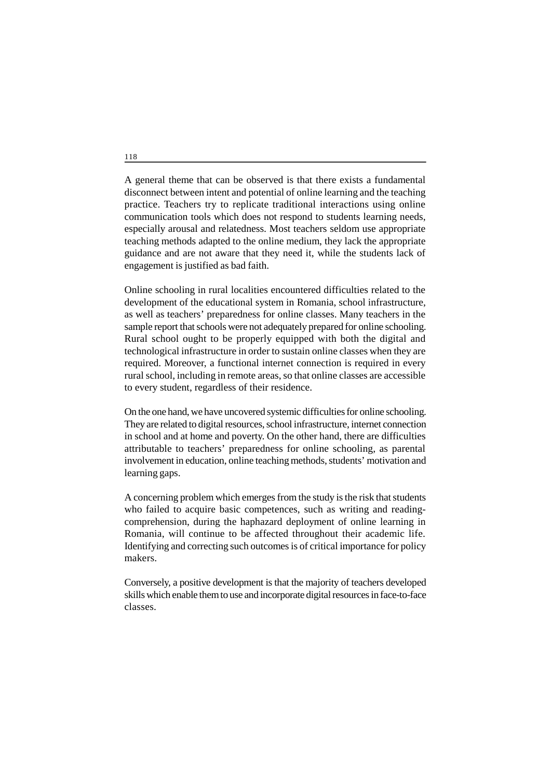A general theme that can be observed is that there exists a fundamental disconnect between intent and potential of online learning and the teaching practice. Teachers try to replicate traditional interactions using online communication tools which does not respond to students learning needs, especially arousal and relatedness. Most teachers seldom use appropriate teaching methods adapted to the online medium, they lack the appropriate guidance and are not aware that they need it, while the students lack of engagement is justified as bad faith.

Online schooling in rural localities encountered difficulties related to the development of the educational system in Romania, school infrastructure, as well as teachers' preparedness for online classes. Many teachers in the sample report that schools were not adequately prepared for online schooling. Rural school ought to be properly equipped with both the digital and technological infrastructure in order to sustain online classes when they are required. Moreover, a functional internet connection is required in every rural school, including in remote areas, so that online classes are accessible to every student, regardless of their residence.

On the one hand, we have uncovered systemic difficulties for online schooling. They are related to digital resources, school infrastructure, internet connection in school and at home and poverty. On the other hand, there are difficulties attributable to teachers' preparedness for online schooling, as parental involvement in education, online teaching methods, students' motivation and learning gaps.

A concerning problem which emerges from the study is the risk that students who failed to acquire basic competences, such as writing and readingcomprehension, during the haphazard deployment of online learning in Romania, will continue to be affected throughout their academic life. Identifying and correcting such outcomes is of critical importance for policy makers.

Conversely, a positive development is that the majority of teachers developed skills which enable them to use and incorporate digital resources in face-to-face classes.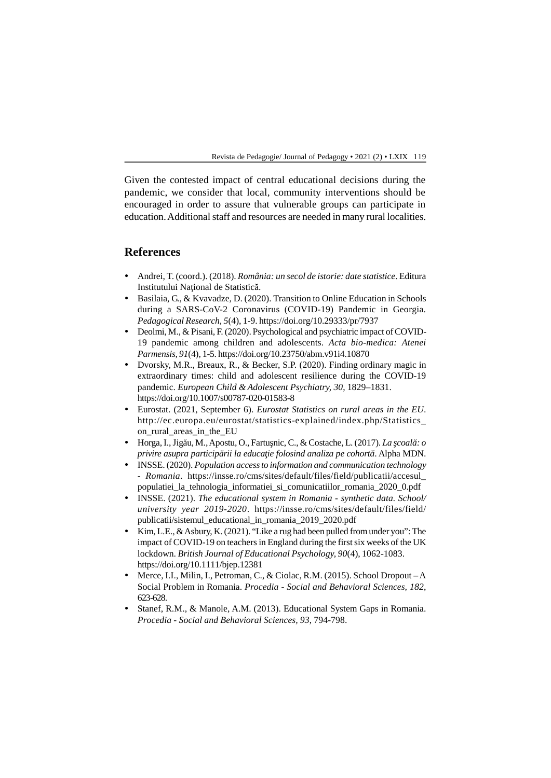Given the contested impact of central educational decisions during the pandemic, we consider that local, community interventions should be encouraged in order to assure that vulnerable groups can participate in education. Additional staff and resources are needed in many rural localities.

### **References**

- Andrei, T. (coord.). (2018). *România: un secol de istorie: date statistice*. Editura Institutului Na ional de Statistic.
- Basilaia, G., & Kvavadze, D. (2020). Transition to Online Education in Schools during a SARS-CoV-2 Coronavirus (COVID-19) Pandemic in Georgia. *Pedagogical Research, 5*(4), 1-9. https://doi.org/10.29333/pr/7937
- Deolmi, M., & Pisani, F. (2020). Psychological and psychiatric impact of COVID-19 pandemic among children and adolescents. *Acta bio-medica: Atenei Parmensis, 91*(4), 1-5. https://doi.org/10.23750/abm.v91i4.10870
- Dvorsky, M.R., Breaux, R., & Becker, S.P. (2020). Finding ordinary magic in extraordinary times: child and adolescent resilience during the COVID-19 pandemic. *European Child & Adolescent Psychiatry, 30*, 1829–1831. https://doi.org/10.1007/s00787-020-01583-8
- Eurostat. (2021, September 6). *Eurostat Statistics on rural areas in the EU*. http://ec.europa.eu/eurostat/statistics-explained/index.php/Statistics\_ on\_rural\_areas\_in\_the\_EU
- $\bullet$  Horga, I., Jig u, M., Apostu, O., Fartu nic, C., & Costache, L. (2017). *La coal* : *o privire asupra particip rii la educa ie folosind analiza pe cohort* . Alpha MDN.
- INSSE. (2020). *Population access to information and communication technology - Romania*. https://insse.ro/cms/sites/default/files/field/publicatii/accesul\_ populatiei\_la\_tehnologia\_informatiei\_si\_comunicatiilor\_romania\_2020\_0.pdf
- INSSE. (2021). *The educational system in Romania synthetic data. School/ university year 2019-2020*. https://insse.ro/cms/sites/default/files/field/ publicatii/sistemul\_educational\_in\_romania\_2019\_2020.pdf
- Kim, L.E.,  $\&$  Asbury, K. (2021). "Like a rug had been pulled from under you": The impact of COVID-19 on teachers in England during the first six weeks of the UK lockdown. *British Journal of Educational Psychology, 90*(4), 1062-1083. https://doi.org/10.1111/bjep.12381
- Merce, I.I., Milin, I., Petroman, C., & Ciolac, R.M. (2015). School Dropout A Social Problem in Romania. *Procedia - Social and Behavioral Sciences, 182*, 623-628.
- Stanef, R.M., & Manole, A.M. (2013). Educational System Gaps in Romania. *Procedia - Social and Behavioral Sciences, 93*, 794-798.